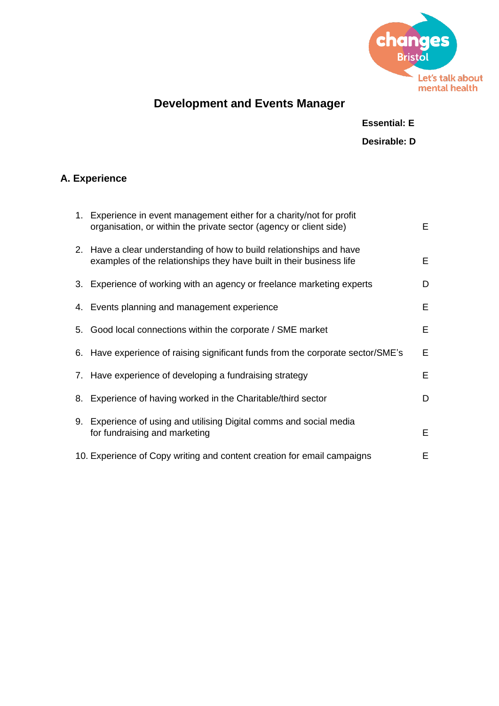

# **Development and Events Manager**

#### **Essential: E**

### **Desirable: D**

### **A. Experience**

|    | 1. Experience in event management either for a charity/not for profit<br>organisation, or within the private sector (agency or client side)  | E. |
|----|----------------------------------------------------------------------------------------------------------------------------------------------|----|
|    | 2. Have a clear understanding of how to build relationships and have<br>examples of the relationships they have built in their business life | E. |
|    | 3. Experience of working with an agency or freelance marketing experts                                                                       | D  |
|    | 4. Events planning and management experience                                                                                                 | E. |
|    | 5. Good local connections within the corporate / SME market                                                                                  | E. |
|    | 6. Have experience of raising significant funds from the corporate sector/SME's                                                              | E  |
|    | 7. Have experience of developing a fundraising strategy                                                                                      | E. |
|    | 8. Experience of having worked in the Charitable/third sector                                                                                | D  |
| 9. | Experience of using and utilising Digital comms and social media<br>for fundraising and marketing                                            | E. |
|    | 10. Experience of Copy writing and content creation for email campaigns                                                                      | Е  |